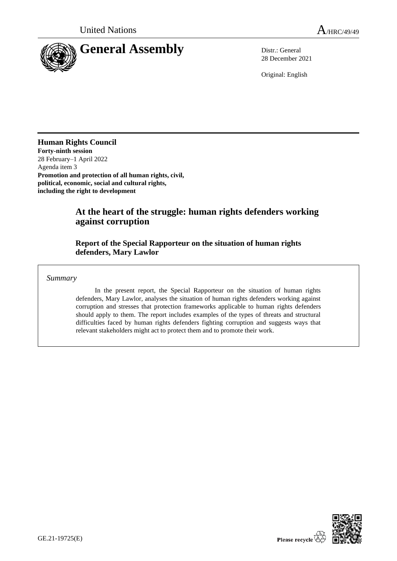

28 December 2021

Original: English

**Human Rights Council Forty-ninth session** 28 February–1 April 2022 Agenda item 3 **Promotion and protection of all human rights, civil, political, economic, social and cultural rights, including the right to development**

# **At the heart of the struggle: human rights defenders working against corruption**

## **Report of the Special Rapporteur on the situation of human rights defenders, Mary Lawlor**

*Summary*

In the present report, the Special Rapporteur on the situation of human rights defenders, Mary Lawlor, analyses the situation of human rights defenders working against corruption and stresses that protection frameworks applicable to human rights defenders should apply to them. The report includes examples of the types of threats and structural difficulties faced by human rights defenders fighting corruption and suggests ways that relevant stakeholders might act to protect them and to promote their work.

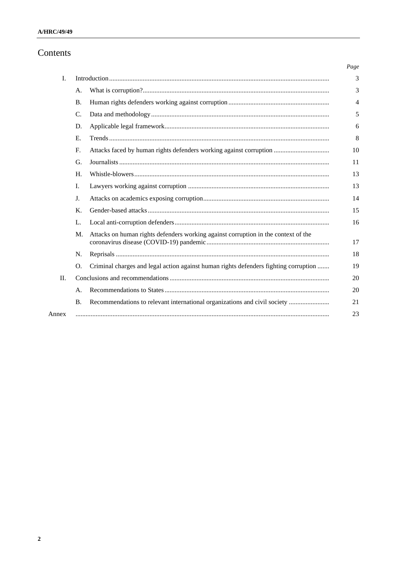# Contents

|         |                |                                                                                      | Page |
|---------|----------------|--------------------------------------------------------------------------------------|------|
| I.      |                |                                                                                      | 3    |
|         | A.             |                                                                                      | 3    |
|         | <b>B.</b>      |                                                                                      | 4    |
|         | C.             |                                                                                      | 5    |
|         | D.             |                                                                                      | 6    |
|         | E.             |                                                                                      | 8    |
|         | F.             |                                                                                      | 10   |
|         | G.             |                                                                                      | 11   |
|         | H.             |                                                                                      | 13   |
|         | I.             |                                                                                      | 13   |
|         | J.             |                                                                                      | 14   |
|         | K.             |                                                                                      | 15   |
|         | L.             |                                                                                      | 16   |
|         | M.             | Attacks on human rights defenders working against corruption in the context of the   | 17   |
|         | N.             |                                                                                      | 18   |
|         | $\Omega$ .     | Criminal charges and legal action against human rights defenders fighting corruption | 19   |
| $\Pi$ . |                |                                                                                      | 20   |
|         | A <sub>1</sub> |                                                                                      | 20   |
|         | <b>B.</b>      | Recommendations to relevant international organizations and civil society            | 21   |
| Annex   |                |                                                                                      | 23   |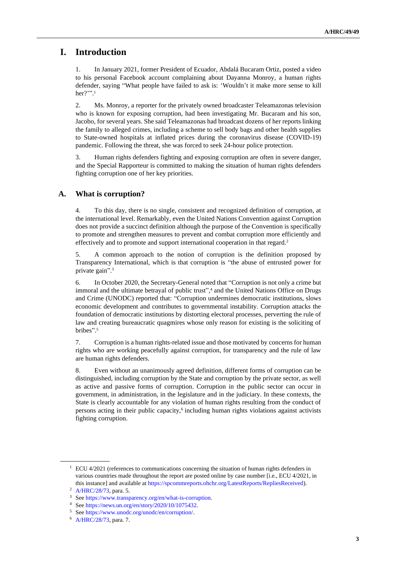# **I. Introduction**

1. In January 2021, former President of Ecuador, Abdalá Bucaram Ortiz, posted a video to his personal Facebook account complaining about Dayanna Monroy, a human rights defender, saying "What people have failed to ask is: 'Wouldn't it make more sense to kill her?'". 1

2. Ms. Monroy, a reporter for the privately owned broadcaster Teleamazonas television who is known for exposing corruption, had been investigating Mr. Bucaram and his son, Jacobo, for several years. She said Teleamazonas had broadcast dozens of her reports linking the family to alleged crimes, including a scheme to sell body bags and other health supplies to State-owned hospitals at inflated prices during the coronavirus disease (COVID-19) pandemic. Following the threat, she was forced to seek 24-hour police protection.

3. Human rights defenders fighting and exposing corruption are often in severe danger, and the Special Rapporteur is committed to making the situation of human rights defenders fighting corruption one of her key priorities.

## **A. What is corruption?**

4. To this day, there is no single, consistent and recognized definition of corruption, at the international level. Remarkably, even the United Nations Convention against Corruption does not provide a succinct definition although the purpose of the Convention is specifically to promote and strengthen measures to prevent and combat corruption more efficiently and effectively and to promote and support international cooperation in that regard.<sup>2</sup>

5. A common approach to the notion of corruption is the definition proposed by Transparency International, which is that corruption is "the abuse of entrusted power for private gain". 3

6. In October 2020, the Secretary-General noted that "Corruption is not only a crime but immoral and the ultimate betrayal of public trust", <sup>4</sup> and the United Nations Office on Drugs and Crime (UNODC) reported that: "Corruption undermines democratic institutions, slows economic development and contributes to governmental instability. Corruption attacks the foundation of democratic institutions by distorting electoral processes, perverting the rule of law and creating bureaucratic quagmires whose only reason for existing is the soliciting of bribes". 5

7. Corruption is a human rights-related issue and those motivated by concerns for human rights who are working peacefully against corruption, for transparency and the rule of law are human rights defenders.

8. Even without an unanimously agreed definition, different forms of corruption can be distinguished, including corruption by the State and corruption by the private sector, as well as active and passive forms of corruption. Corruption in the public sector can occur in government, in administration, in the legislature and in the judiciary. In these contexts, the State is clearly accountable for any violation of human rights resulting from the conduct of persons acting in their public capacity,<sup>6</sup> including human rights violations against activists fighting corruption.

 $1$  ECU 4/2021 (references to communications concerning the situation of human rights defenders in various countries made throughout the report are posted online by case number [i.e., ECU 4/2021, in this instance] and available at [https://spcommreports.ohchr.org/LatestReports/RepliesReceived\)](https://spcommreports.ohchr.org/LatestReports/RepliesReceived).

<sup>2</sup> [A/HRC/28/73,](http://undocs.org/en/A/HRC/28/73) para. 5.

<sup>3</sup> Se[e https://www.transparency.org/en/what-is-corruption.](https://www.transparency.org/en/what-is-corruption)

<sup>4</sup> Se[e https://news.un.org/en/story/2020/10/1075432.](https://news.un.org/en/story/2020/10/1075432)

<sup>5</sup> Se[e https://www.unodc.org/unodc/en/corruption/.](https://www.unodc.org/unodc/en/corruption/)

<sup>6</sup> [A/HRC/28/73,](http://undocs.org/en/A/HRC/28/73) para. 7.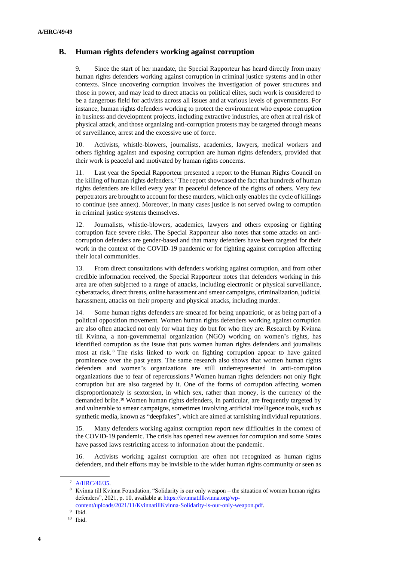## **B. Human rights defenders working against corruption**

9. Since the start of her mandate, the Special Rapporteur has heard directly from many human rights defenders working against corruption in criminal justice systems and in other contexts. Since uncovering corruption involves the investigation of power structures and those in power, and may lead to direct attacks on political elites, such work is considered to be a dangerous field for activists across all issues and at various levels of governments. For instance, human rights defenders working to protect the environment who expose corruption in business and development projects, including extractive industries, are often at real risk of physical attack, and those organizing anti-corruption protests may be targeted through means of surveillance, arrest and the excessive use of force.

10. Activists, whistle-blowers, journalists, academics, lawyers, medical workers and others fighting against and exposing corruption are human rights defenders, provided that their work is peaceful and motivated by human rights concerns.

11. Last year the Special Rapporteur presented a report to the Human Rights Council on the killing of human rights defenders.<sup>7</sup> The report showcased the fact that hundreds of human rights defenders are killed every year in peaceful defence of the rights of others. Very few perpetrators are brought to account for these murders, which only enables the cycle of killings to continue (see annex). Moreover, in many cases justice is not served owing to corruption in criminal justice systems themselves.

12. Journalists, whistle-blowers, academics, lawyers and others exposing or fighting corruption face severe risks. The Special Rapporteur also notes that some attacks on anticorruption defenders are gender-based and that many defenders have been targeted for their work in the context of the COVID-19 pandemic or for fighting against corruption affecting their local communities.

13. From direct consultations with defenders working against corruption, and from other credible information received, the Special Rapporteur notes that defenders working in this area are often subjected to a range of attacks, including electronic or physical surveillance, cyberattacks, direct threats, online harassment and smear campaigns, criminalization, judicial harassment, attacks on their property and physical attacks, including murder.

14. Some human rights defenders are smeared for being unpatriotic, or as being part of a political opposition movement. Women human rights defenders working against corruption are also often attacked not only for what they do but for who they are. Research by Kvinna till Kvinna, a non-governmental organization (NGO) working on women's rights, has identified corruption as the issue that puts women human rights defenders and journalists most at risk. <sup>8</sup> The risks linked to work on fighting corruption appear to have gained prominence over the past years. The same research also shows that women human rights defenders and women's organizations are still underrepresented in anti-corruption organizations due to fear of repercussions.<sup>9</sup> Women human rights defenders not only fight corruption but are also targeted by it. One of the forms of corruption affecting women disproportionately is sextorsion, in which sex, rather than money, is the currency of the demanded bribe.<sup>10</sup> Women human rights defenders, in particular, are frequently targeted by and vulnerable to smear campaigns, sometimes involving artificial intelligence tools, such as synthetic media, known as "deepfakes", which are aimed at tarnishing individual reputations.

15. Many defenders working against corruption report new difficulties in the context of the COVID-19 pandemic. The crisis has opened new avenues for corruption and some States have passed laws restricting access to information about the pandemic.

16. Activists working against corruption are often not recognized as human rights defenders, and their efforts may be invisible to the wider human rights community or seen as

<sup>7</sup> [A/HRC/46/35.](http://undocs.org/en/A/HRC/46/35)

<sup>8</sup> Kvinna till Kvinna Foundation, "Solidarity is our only weapon – the situation of women human rights defenders", 2021, p. 10, available at [https://kvinnatillkvinna.org/wp](https://kvinnatillkvinna.org/wp-content/uploads/2021/11/KvinnatillKvinna-Solidarity-is-our-only-weapon.pdf)[content/uploads/2021/11/KvinnatillKvinna-Solidarity-is-our-only-weapon.pdf.](https://kvinnatillkvinna.org/wp-content/uploads/2021/11/KvinnatillKvinna-Solidarity-is-our-only-weapon.pdf)

<sup>9</sup> Ibid.

<sup>10</sup> Ibid.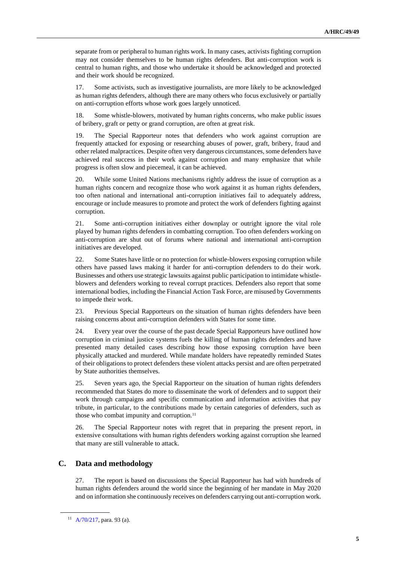separate from or peripheral to human rights work. In many cases, activists fighting corruption may not consider themselves to be human rights defenders. But anti-corruption work is central to human rights, and those who undertake it should be acknowledged and protected and their work should be recognized.

17. Some activists, such as investigative journalists, are more likely to be acknowledged as human rights defenders, although there are many others who focus exclusively or partially on anti-corruption efforts whose work goes largely unnoticed.

18. Some whistle-blowers, motivated by human rights concerns, who make public issues of bribery, graft or petty or grand corruption, are often at great risk.

19. The Special Rapporteur notes that defenders who work against corruption are frequently attacked for exposing or researching abuses of power, graft, bribery, fraud and other related malpractices. Despite often very dangerous circumstances, some defenders have achieved real success in their work against corruption and many emphasize that while progress is often slow and piecemeal, it can be achieved.

20. While some United Nations mechanisms rightly address the issue of corruption as a human rights concern and recognize those who work against it as human rights defenders, too often national and international anti-corruption initiatives fail to adequately address, encourage or include measures to promote and protect the work of defenders fighting against corruption.

21. Some anti-corruption initiatives either downplay or outright ignore the vital role played by human rights defenders in combatting corruption. Too often defenders working on anti-corruption are shut out of forums where national and international anti-corruption initiatives are developed.

22. Some States have little or no protection for whistle-blowers exposing corruption while others have passed laws making it harder for anti-corruption defenders to do their work. Businesses and others use strategic lawsuits against public participation to intimidate whistleblowers and defenders working to reveal corrupt practices. Defenders also report that some international bodies, including the Financial Action Task Force, are misused by Governments to impede their work.

23. Previous Special Rapporteurs on the situation of human rights defenders have been raising concerns about anti-corruption defenders with States for some time.

24. Every year over the course of the past decade Special Rapporteurs have outlined how corruption in criminal justice systems fuels the killing of human rights defenders and have presented many detailed cases describing how those exposing corruption have been physically attacked and murdered. While mandate holders have repeatedly reminded States of their obligations to protect defenders these violent attacks persist and are often perpetrated by State authorities themselves.

25. Seven years ago, the Special Rapporteur on the situation of human rights defenders recommended that States do more to disseminate the work of defenders and to support their work through campaigns and specific communication and information activities that pay tribute, in particular, to the contributions made by certain categories of defenders, such as those who combat impunity and corruption.<sup>11</sup>

26. The Special Rapporteur notes with regret that in preparing the present report, in extensive consultations with human rights defenders working against corruption she learned that many are still vulnerable to attack.

#### **C. Data and methodology**

27. The report is based on discussions the Special Rapporteur has had with hundreds of human rights defenders around the world since the beginning of her mandate in May 2020 and on information she continuously receives on defenders carrying out anti-corruption work.

<sup>11</sup> [A/70/217,](http://undocs.org/en/A/70/217) para. 93 (a).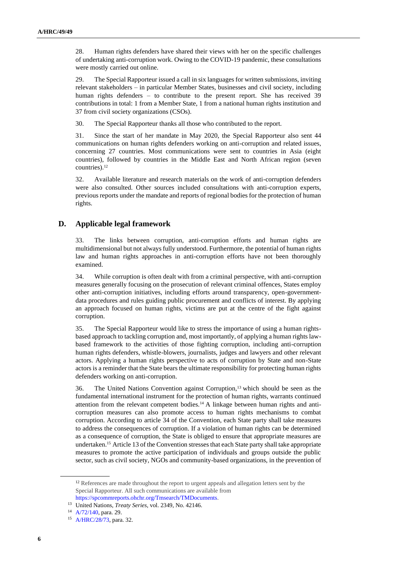28. Human rights defenders have shared their views with her on the specific challenges of undertaking anti-corruption work. Owing to the COVID-19 pandemic, these consultations were mostly carried out online.

29. The Special Rapporteur issued a call in six languages for written submissions, inviting relevant stakeholders – in particular Member States, businesses and civil society, including human rights defenders – to contribute to the present report. She has received 39 contributions in total: 1 from a Member State, 1 from a national human rights institution and 37 from civil society organizations (CSOs).

30. The Special Rapporteur thanks all those who contributed to the report.

31. Since the start of her mandate in May 2020, the Special Rapporteur also sent 44 communications on human rights defenders working on anti-corruption and related issues, concerning 27 countries. Most communications were sent to countries in Asia (eight countries), followed by countries in the Middle East and North African region (seven countries).<sup>12</sup>

32. Available literature and research materials on the work of anti-corruption defenders were also consulted. Other sources included consultations with anti-corruption experts, previous reports under the mandate and reports of regional bodies for the protection of human rights.

## **D. Applicable legal framework**

33. The links between corruption, anti-corruption efforts and human rights are multidimensional but not always fully understood. Furthermore, the potential of human rights law and human rights approaches in anti-corruption efforts have not been thoroughly examined.

34. While corruption is often dealt with from a criminal perspective, with anti-corruption measures generally focusing on the prosecution of relevant criminal offences, States employ other anti-corruption initiatives, including efforts around transparency, open-governmentdata procedures and rules guiding public procurement and conflicts of interest. By applying an approach focused on human rights, victims are put at the centre of the fight against corruption.

35. The Special Rapporteur would like to stress the importance of using a human rightsbased approach to tackling corruption and, most importantly, of applying a human rights lawbased framework to the activities of those fighting corruption, including anti-corruption human rights defenders, whistle-blowers, journalists, judges and lawyers and other relevant actors. Applying a human rights perspective to acts of corruption by State and non-State actors is a reminder that the State bears the ultimate responsibility for protecting human rights defenders working on anti-corruption.

36. The United Nations Convention against Corruption,<sup>13</sup> which should be seen as the fundamental international instrument for the protection of human rights, warrants continued attention from the relevant competent bodies.<sup>14</sup> A linkage between human rights and anticorruption measures can also promote access to human rights mechanisms to combat corruption. According to article 34 of the Convention, each State party shall take measures to address the consequences of corruption. If a violation of human rights can be determined as a consequence of corruption, the State is obliged to ensure that appropriate measures are undertaken.<sup>15</sup> Article 13 of the Convention stresses that each State party shall take appropriate measures to promote the active participation of individuals and groups outside the public sector, such as civil society, NGOs and community-based organizations, in the prevention of

<sup>&</sup>lt;sup>12</sup> References are made throughout the report to urgent appeals and allegation letters sent by the Special Rapporteur. All such communications are available from [https://spcommreports.ohchr.org/Tmsearch/TMDocuments.](https://spcommreports.ohchr.org/Tmsearch/TMDocuments)

<sup>13</sup> United Nations, *Treaty Series*, vol. 2349, No. 42146.

<sup>14</sup> [A/72/140,](http://undocs.org/en/A/72/140) para. 29.

<sup>15</sup> [A/HRC/28/73,](http://undocs.org/en/A/HRC/28/73) para. 32.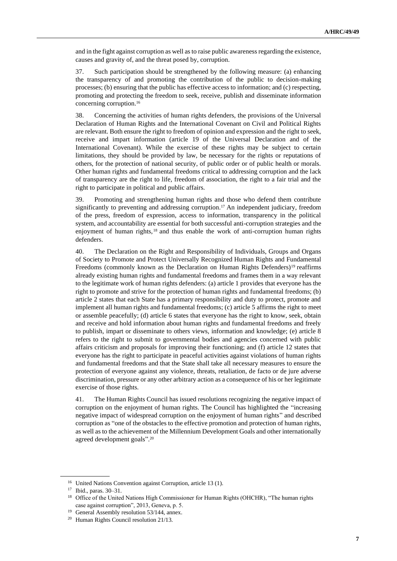and in the fight against corruption as well as to raise public awareness regarding the existence, causes and gravity of, and the threat posed by, corruption.

37. Such participation should be strengthened by the following measure: (a) enhancing the transparency of and promoting the contribution of the public to decision-making processes; (b) ensuring that the public has effective access to information; and (c) respecting, promoting and protecting the freedom to seek, receive, publish and disseminate information concerning corruption.<sup>16</sup>

38. Concerning the activities of human rights defenders, the provisions of the Universal Declaration of Human Rights and the International Covenant on Civil and Political Rights are relevant. Both ensure the right to freedom of opinion and expression and the right to seek, receive and impart information (article 19 of the Universal Declaration and of the International Covenant). While the exercise of these rights may be subject to certain limitations, they should be provided by law, be necessary for the rights or reputations of others, for the protection of national security, of public order or of public health or morals. Other human rights and fundamental freedoms critical to addressing corruption and the lack of transparency are the right to life, freedom of association, the right to a fair trial and the right to participate in political and public affairs.

39. Promoting and strengthening human rights and those who defend them contribute significantly to preventing and addressing corruption.<sup>17</sup> An independent judiciary, freedom of the press, freedom of expression, access to information, transparency in the political system, and accountability are essential for both successful anti-corruption strategies and the enjoyment of human rights, <sup>18</sup> and thus enable the work of anti-corruption human rights defenders.

40. The Declaration on the Right and Responsibility of Individuals, Groups and Organs of Society to Promote and Protect Universally Recognized Human Rights and Fundamental Freedoms (commonly known as the Declaration on Human Rights Defenders)<sup>19</sup> reaffirms already existing human rights and fundamental freedoms and frames them in a way relevant to the legitimate work of human rights defenders: (a) article 1 provides that everyone has the right to promote and strive for the protection of human rights and fundamental freedoms; (b) article 2 states that each State has a primary responsibility and duty to protect, promote and implement all human rights and fundamental freedoms; (c) article 5 affirms the right to meet or assemble peacefully; (d) article 6 states that everyone has the right to know, seek, obtain and receive and hold information about human rights and fundamental freedoms and freely to publish, impart or disseminate to others views, information and knowledge; (e) article 8 refers to the right to submit to governmental bodies and agencies concerned with public affairs criticism and proposals for improving their functioning; and (f) article 12 states that everyone has the right to participate in peaceful activities against violations of human rights and fundamental freedoms and that the State shall take all necessary measures to ensure the protection of everyone against any violence, threats, retaliation, de facto or de jure adverse discrimination, pressure or any other arbitrary action as a consequence of his or her legitimate exercise of those rights.

41. The Human Rights Council has issued resolutions recognizing the negative impact of corruption on the enjoyment of human rights. The Council has highlighted the "increasing negative impact of widespread corruption on the enjoyment of human rights" and described corruption as "one of the obstacles to the effective promotion and protection of human rights, as well as to the achievement of the Millennium Development Goals and other internationally agreed development goals". 20

<sup>16</sup> United Nations Convention against Corruption, article 13 (1).

<sup>17</sup> Ibid., paras. 30–31.

<sup>&</sup>lt;sup>18</sup> Office of the United Nations High Commissioner for Human Rights (OHCHR), "The human rights case against corruption", 2013, Geneva, p. 5.

<sup>&</sup>lt;sup>19</sup> General Assembly resolution 53/144, annex.

<sup>20</sup> Human Rights Council resolution 21/13.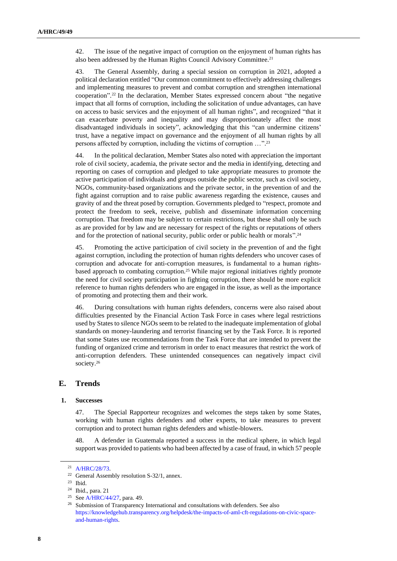42. The issue of the negative impact of corruption on the enjoyment of human rights has also been addressed by the Human Rights Council Advisory Committee.<sup>21</sup>

43. The General Assembly, during a special session on corruption in 2021, adopted a political declaration entitled "Our common commitment to effectively addressing challenges and implementing measures to prevent and combat corruption and strengthen international cooperation". <sup>22</sup> In the declaration, Member States expressed concern about "the negative impact that all forms of corruption, including the solicitation of undue advantages, can have on access to basic services and the enjoyment of all human rights", and recognized "that it can exacerbate poverty and inequality and may disproportionately affect the most disadvantaged individuals in society", acknowledging that this "can undermine citizens' trust, have a negative impact on governance and the enjoyment of all human rights by all persons affected by corruption, including the victims of corruption …". 23

44. In the political declaration, Member States also noted with appreciation the important role of civil society, academia, the private sector and the media in identifying, detecting and reporting on cases of corruption and pledged to take appropriate measures to promote the active participation of individuals and groups outside the public sector, such as civil society, NGOs, community-based organizations and the private sector, in the prevention of and the fight against corruption and to raise public awareness regarding the existence, causes and gravity of and the threat posed by corruption. Governments pledged to "respect, promote and protect the freedom to seek, receive, publish and disseminate information concerning corruption. That freedom may be subject to certain restrictions, but these shall only be such as are provided for by law and are necessary for respect of the rights or reputations of others and for the protection of national security, public order or public health or morals".<sup>24</sup>

45. Promoting the active participation of civil society in the prevention of and the fight against corruption, including the protection of human rights defenders who uncover cases of corruption and advocate for anti-corruption measures, is fundamental to a human rightsbased approach to combating corruption.<sup>25</sup> While major regional initiatives rightly promote the need for civil society participation in fighting corruption, there should be more explicit reference to human rights defenders who are engaged in the issue, as well as the importance of promoting and protecting them and their work.

46. During consultations with human rights defenders, concerns were also raised about difficulties presented by the Financial Action Task Force in cases where legal restrictions used by States to silence NGOs seem to be related to the inadequate implementation of global standards on money-laundering and terrorist financing set by the Task Force. It is reported that some States use recommendations from the Task Force that are intended to prevent the funding of organized crime and terrorism in order to enact measures that restrict the work of anti-corruption defenders. These unintended consequences can negatively impact civil society.<sup>26</sup>

## **E. Trends**

#### **1. Successes**

47. The Special Rapporteur recognizes and welcomes the steps taken by some States, working with human rights defenders and other experts, to take measures to prevent corruption and to protect human rights defenders and whistle-blowers.

48. A defender in Guatemala reported a success in the medical sphere, in which legal support was provided to patients who had been affected by a case of fraud, in which 57 people

<sup>21</sup> [A/HRC/28/73.](http://undocs.org/en/A/HRC/28/73)

<sup>&</sup>lt;sup>22</sup> General Assembly resolution S-32/1, annex.<br><sup>23</sup> Ibid

Ibid.

<sup>24</sup> Ibid., para. 21

<sup>25</sup> Se[e A/HRC/44/27,](http://undocs.org/en/A/HRC/44/27) para. 49.

<sup>&</sup>lt;sup>26</sup> Submission of Transparency International and consultations with defenders. See also [https://knowledgehub.transparency.org/helpdesk/the-impacts-of-aml-cft-regulations-on-civic-space](https://knowledgehub.transparency.org/helpdesk/the-impacts-of-aml-cft-regulations-on-civic-space-and-human-rights)[and-human-rights.](https://knowledgehub.transparency.org/helpdesk/the-impacts-of-aml-cft-regulations-on-civic-space-and-human-rights)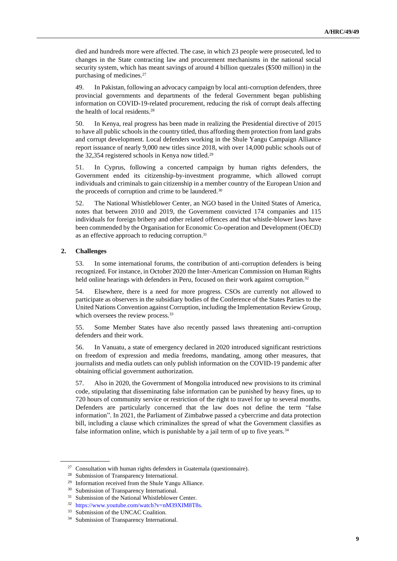died and hundreds more were affected. The case, in which 23 people were prosecuted, led to changes in the State contracting law and procurement mechanisms in the national social security system, which has meant savings of around 4 billion quetzales (\$500 million) in the purchasing of medicines.<sup>27</sup>

49. In Pakistan, following an advocacy campaign by local anti-corruption defenders, three provincial governments and departments of the federal Government began publishing information on COVID-19-related procurement, reducing the risk of corrupt deals affecting the health of local residents.<sup>28</sup>

50. In Kenya, real progress has been made in realizing the Presidential directive of 2015 to have all public schools in the country titled, thus affording them protection from land grabs and corrupt development. Local defenders working in the Shule Yangu Campaign Alliance report issuance of nearly 9,000 new titles since 2018, with over 14,000 public schools out of the 32,354 registered schools in Kenya now titled.<sup>29</sup>

51. In Cyprus, following a concerted campaign by human rights defenders, the Government ended its citizenship-by-investment programme, which allowed corrupt individuals and criminals to gain citizenship in a member country of the European Union and the proceeds of corruption and crime to be laundered.<sup>30</sup>

52. The National Whistleblower Center, an NGO based in the United States of America, notes that between 2010 and 2019, the Government convicted 174 companies and 115 individuals for foreign bribery and other related offences and that whistle-blower laws have been commended by the Organisation for Economic Co-operation and Development (OECD) as an effective approach to reducing corruption.<sup>31</sup>

#### **2. Challenges**

53. In some international forums, the contribution of anti-corruption defenders is being recognized. For instance, in October 2020 the Inter-American Commission on Human Rights held online hearings with defenders in Peru, focused on their work against corruption.<sup>32</sup>

54. Elsewhere, there is a need for more progress. CSOs are currently not allowed to participate as observers in the subsidiary bodies of the Conference of the States Parties to the United Nations Convention against Corruption, including the Implementation Review Group, which oversees the review process.<sup>33</sup>

55. Some Member States have also recently passed laws threatening anti-corruption defenders and their work.

56. In Vanuatu, a state of emergency declared in 2020 introduced significant restrictions on freedom of expression and media freedoms, mandating, among other measures, that journalists and media outlets can only publish information on the COVID-19 pandemic after obtaining official government authorization.

57. Also in 2020, the Government of Mongolia introduced new provisions to its criminal code, stipulating that disseminating false information can be punished by heavy fines, up to 720 hours of community service or restriction of the right to travel for up to several months. Defenders are particularly concerned that the law does not define the term "false information". In 2021, the Parliament of Zimbabwe passed a cybercrime and data protection bill, including a clause which criminalizes the spread of what the Government classifies as false information online, which is punishable by a jail term of up to five years.<sup>34</sup>

 $27$  Consultation with human rights defenders in Guatemala (questionnaire).

<sup>&</sup>lt;sup>28</sup> Submission of Transparency International.

<sup>29</sup> Information received from the Shule Yangu Alliance.

<sup>&</sup>lt;sup>30</sup> Submission of Transparency International.

<sup>&</sup>lt;sup>31</sup> Submission of the National Whistleblower Center.

<sup>32</sup> [https://www.youtube.com/watch?v=nM39XIM8T8s.](https://www.youtube.com/watch?v=nM39XIM8T8s)

<sup>33</sup> Submission of the UNCAC Coalition.

<sup>&</sup>lt;sup>34</sup> Submission of Transparency International.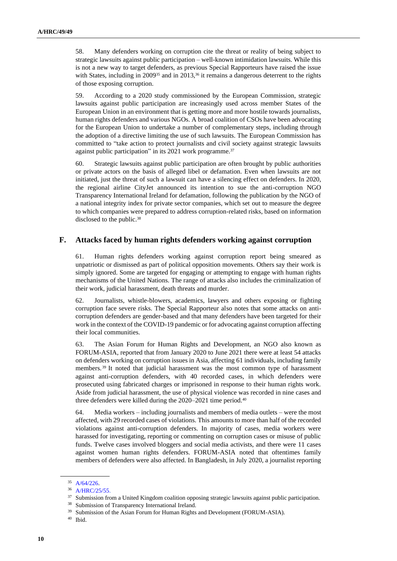58. Many defenders working on corruption cite the threat or reality of being subject to strategic lawsuits against public participation – well-known intimidation lawsuits. While this is not a new way to target defenders, as previous Special Rapporteurs have raised the issue with States, including in 2009<sup>35</sup> and in 2013,<sup>36</sup> it remains a dangerous deterrent to the rights of those exposing corruption.

59. According to a 2020 study commissioned by the European Commission, strategic lawsuits against public participation are increasingly used across member States of the European Union in an environment that is getting more and more hostile towards journalists, human rights defenders and various NGOs. A broad coalition of CSOs have been advocating for the European Union to undertake a number of complementary steps, including through the adoption of a directive limiting the use of such lawsuits. The European Commission has committed to "take action to protect journalists and civil society against strategic lawsuits against public participation" in its 2021 work programme.<sup>37</sup>

60. Strategic lawsuits against public participation are often brought by public authorities or private actors on the basis of alleged libel or defamation. Even when lawsuits are not initiated, just the threat of such a lawsuit can have a silencing effect on defenders. In 2020, the regional airline CityJet announced its intention to sue the anti-corruption NGO Transparency International Ireland for defamation, following the publication by the NGO of a national integrity index for private sector companies, which set out to measure the degree to which companies were prepared to address corruption-related risks, based on information disclosed to the public.<sup>38</sup>

## **F. Attacks faced by human rights defenders working against corruption**

61. Human rights defenders working against corruption report being smeared as unpatriotic or dismissed as part of political opposition movements. Others say their work is simply ignored. Some are targeted for engaging or attempting to engage with human rights mechanisms of the United Nations. The range of attacks also includes the criminalization of their work, judicial harassment, death threats and murder.

62. Journalists, whistle-blowers, academics, lawyers and others exposing or fighting corruption face severe risks. The Special Rapporteur also notes that some attacks on anticorruption defenders are gender-based and that many defenders have been targeted for their work in the context of the COVID-19 pandemic or for advocating against corruption affecting their local communities.

63. The Asian Forum for Human Rights and Development, an NGO also known as FORUM-ASIA, reported that from January 2020 to June 2021 there were at least 54 attacks on defenders working on corruption issues in Asia, affecting 61 individuals, including family members. <sup>39</sup> It noted that judicial harassment was the most common type of harassment against anti-corruption defenders, with 40 recorded cases, in which defenders were prosecuted using fabricated charges or imprisoned in response to their human rights work. Aside from judicial harassment, the use of physical violence was recorded in nine cases and three defenders were killed during the 2020–2021 time period.<sup>40</sup>

64. Media workers – including journalists and members of media outlets – were the most affected, with 29 recorded cases of violations. This amounts to more than half of the recorded violations against anti-corruption defenders. In majority of cases, media workers were harassed for investigating, reporting or commenting on corruption cases or misuse of public funds. Twelve cases involved bloggers and social media activists, and there were 11 cases against women human rights defenders. FORUM-ASIA noted that oftentimes family members of defenders were also affected. In Bangladesh, in July 2020, a journalist reporting

<sup>35</sup> [A/64/226.](http://undocs.org/en/A/64/226)

<sup>36</sup> [A/HRC/25/55.](http://undocs.org/en/A/HRC/25/55)

<sup>&</sup>lt;sup>37</sup> Submission from a United Kingdom coalition opposing strategic lawsuits against public participation.

<sup>38</sup> Submission of Transparency International Ireland.

<sup>&</sup>lt;sup>39</sup> Submission of the Asian Forum for Human Rights and Development (FORUM-ASIA).

<sup>40</sup> Ibid.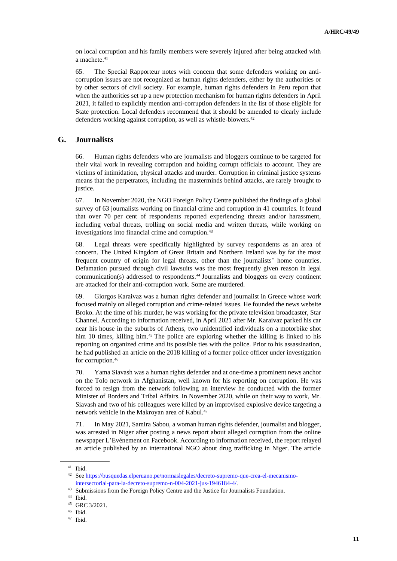on local corruption and his family members were severely injured after being attacked with a machete.<sup>41</sup>

65. The Special Rapporteur notes with concern that some defenders working on anticorruption issues are not recognized as human rights defenders, either by the authorities or by other sectors of civil society. For example, human rights defenders in Peru report that when the authorities set up a new protection mechanism for human rights defenders in April 2021, it failed to explicitly mention anti-corruption defenders in the list of those eligible for State protection. Local defenders recommend that it should be amended to clearly include defenders working against corruption, as well as whistle-blowers.<sup>42</sup>

## **G. Journalists**

66. Human rights defenders who are journalists and bloggers continue to be targeted for their vital work in revealing corruption and holding corrupt officials to account. They are victims of intimidation, physical attacks and murder. Corruption in criminal justice systems means that the perpetrators, including the masterminds behind attacks, are rarely brought to justice.

67. In November 2020, the NGO Foreign Policy Centre published the findings of a global survey of 63 journalists working on financial crime and corruption in 41 countries. It found that over 70 per cent of respondents reported experiencing threats and/or harassment, including verbal threats, trolling on social media and written threats, while working on investigations into financial crime and corruption.<sup>43</sup>

68. Legal threats were specifically highlighted by survey respondents as an area of concern. The United Kingdom of Great Britain and Northern Ireland was by far the most frequent country of origin for legal threats, other than the journalists' home countries. Defamation pursued through civil lawsuits was the most frequently given reason in legal communication(s) addressed to respondents.<sup>44</sup> Journalists and bloggers on every continent are attacked for their anti-corruption work. Some are murdered.

69. Giorgos Karaivaz was a human rights defender and journalist in Greece whose work focused mainly on alleged corruption and crime-related issues. He founded the news website Broko. At the time of his murder, he was working for the private television broadcaster, Star Channel. According to information received, in April 2021 after Mr. Karaivaz parked his car near his house in the suburbs of Athens, two unidentified individuals on a motorbike shot him 10 times, killing him.<sup>45</sup> The police are exploring whether the killing is linked to his reporting on organized crime and its possible ties with the police. Prior to his assassination, he had published an article on the 2018 killing of a former police officer under investigation for corruption.<sup>46</sup>

70. Yama Siavash was a human rights defender and at one-time a prominent news anchor on the Tolo network in Afghanistan, well known for his reporting on corruption. He was forced to resign from the network following an interview he conducted with the former Minister of Borders and Tribal Affairs. In November 2020, while on their way to work, Mr. Siavash and two of his colleagues were killed by an improvised explosive device targeting a network vehicle in the Makroyan area of Kabul.<sup>47</sup>

71. In May 2021, Samira Sabou, a woman human rights defender, journalist and blogger, was arrested in Niger after posting a news report about alleged corruption from the online newspaper L'Evénement on Facebook. According to information received, the report relayed an article published by an international NGO about drug trafficking in Niger. The article

<sup>41</sup> Ibid.

<sup>42</sup> Se[e https://busquedas.elperuano.pe/normaslegales/decreto-supremo-que-crea-el-mecanismo](https://busquedas.elperuano.pe/normaslegales/decreto-supremo-que-crea-el-mecanismo-intersectorial-para-la-decreto-supremo-n-004-2021-jus-1946184-4/)[intersectorial-para-la-decreto-supremo-n-004-2021-jus-1946184-4/.](https://busquedas.elperuano.pe/normaslegales/decreto-supremo-que-crea-el-mecanismo-intersectorial-para-la-decreto-supremo-n-004-2021-jus-1946184-4/)

<sup>&</sup>lt;sup>43</sup> Submissions from the Foreign Policy Centre and the Justice for Journalists Foundation.

<sup>44</sup> Ibid.

<sup>45</sup> GRC 3/2021.

<sup>46</sup> Ibid.

<sup>47</sup> Ibid.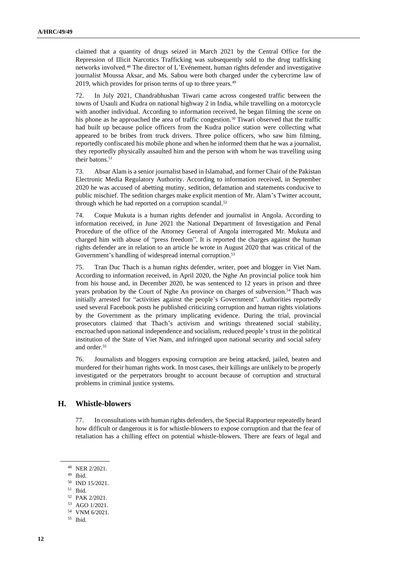claimed that a quantity of drugs seized in March 2021 by the Central Office for the Repression of Illicit Narcotics Trafficking was subsequently sold to the drug trafficking networks involved.<sup>48</sup> The director of L'Evénement, human rights defender and investigative journalist Moussa Aksar, and Ms. Sabou were both charged under the cybercrime law of 2019, which provides for prison terms of up to three years.<sup>49</sup>

72. In July 2021, Chandrabhushan Tiwari came across congested traffic between the towns of Usauli and Kudra on national highway 2 in India, while travelling on a motorcycle with another individual. According to information received, he began filming the scene on his phone as he approached the area of traffic congestion.<sup>50</sup> Tiwari observed that the traffic had built up because police officers from the Kudra police station were collecting what appeared to be bribes from truck drivers. Three police officers, who saw him filming, reportedly confiscated his mobile phone and when he informed them that he was a journalist, they reportedly physically assaulted him and the person with whom he was travelling using their batons.<sup>51</sup>

73. Absar Alam is a senior journalist based in Islamabad, and former Chair of the Pakistan Electronic Media Regulatory Authority. According to information received, in September 2020 he was accused of abetting mutiny, sedition, defamation and statements conducive to public mischief. The sedition charges make explicit mention of Mr. Alam's Twitter account, through which he had reported on a corruption scandal.<sup>52</sup>

74. Coque Mukuta is a human rights defender and journalist in Angola. According to information received, in June 2021 the National Department of Investigation and Penal Procedure of the office of the Attorney General of Angola interrogated Mr. Mukuta and charged him with abuse of "press freedom". It is reported the charges against the human rights defender are in relation to an article he wrote in August 2020 that was critical of the Government's handling of widespread internal corruption.<sup>53</sup>

75. Tran Duc Thach is a human rights defender, writer, poet and blogger in Viet Nam. According to information received, in April 2020, the Nghe An provincial police took him from his house and, in December 2020, he was sentenced to 12 years in prison and three years probation by the Court of Nghe An province on charges of subversion.<sup>54</sup> Thach was initially arrested for "activities against the people's Government". Authorities reportedly used several Facebook posts he published criticizing corruption and human rights violations by the Government as the primary implicating evidence. During the trial, provincial prosecutors claimed that Thach's activism and writings threatened social stability, encroached upon national independence and socialism, reduced people's trust in the political institution of the State of Viet Nam, and infringed upon national security and social safety and order.<sup>55</sup>

76. Journalists and bloggers exposing corruption are being attacked, jailed, beaten and murdered for their human rights work. In most cases, their killings are unlikely to be properly investigated or the perpetrators brought to account because of corruption and structural problems in criminal justice systems.

## **H. Whistle-blowers**

77. In consultations with human rights defenders, the Special Rapporteur repeatedly heard how difficult or dangerous it is for whistle-blowers to expose corruption and that the fear of retaliation has a chilling effect on potential whistle-blowers. There are fears of legal and

<sup>48</sup> NER 2/2021.

 $49$  Ibid.<br> $50$  IND

IND 15/2021.

<sup>51</sup> Ibid.

<sup>52</sup> PAK 2/2021.

<sup>53</sup> AGO 1/2021.

<sup>54</sup> VNM 6/2021.

<sup>55</sup> Ibid.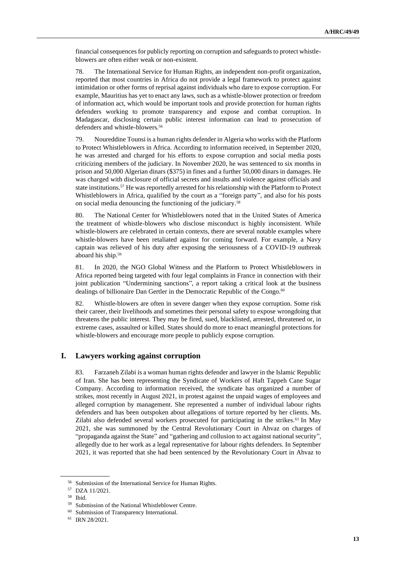financial consequences for publicly reporting on corruption and safeguards to protect whistleblowers are often either weak or non-existent.

78. The International Service for Human Rights, an independent non-profit organization, reported that most countries in Africa do not provide a legal framework to protect against intimidation or other forms of reprisal against individuals who dare to expose corruption. For example, Mauritius has yet to enact any laws, such as a whistle-blower protection or freedom of information act, which would be important tools and provide protection for human rights defenders working to promote transparency and expose and combat corruption. In Madagascar, disclosing certain public interest information can lead to prosecution of defenders and whistle-blowers.<sup>56</sup>

79. Noureddine Tounsi is a human rights defender in Algeria who works with the Platform to Protect Whistleblowers in Africa. According to information received, in September 2020, he was arrested and charged for his efforts to expose corruption and social media posts criticizing members of the judiciary. In November 2020, he was sentenced to six months in prison and 50,000 Algerian dinars (\$375) in fines and a further 50,000 dinars in damages. He was charged with disclosure of official secrets and insults and violence against officials and state institutions.<sup>57</sup> He was reportedly arrested for his relationship with the Platform to Protect Whistleblowers in Africa, qualified by the court as a "foreign party", and also for his posts on social media denouncing the functioning of the judiciary.<sup>58</sup>

80. The National Center for Whistleblowers noted that in the United States of America the treatment of whistle-blowers who disclose misconduct is highly inconsistent. While whistle-blowers are celebrated in certain contexts, there are several notable examples where whistle-blowers have been retaliated against for coming forward. For example, a Navy captain was relieved of his duty after exposing the seriousness of a COVID-19 outbreak aboard his ship.<sup>59</sup>

81. In 2020, the NGO Global Witness and the Platform to Protect Whistleblowers in Africa reported being targeted with four legal complaints in France in connection with their joint publication "Undermining sanctions", a report taking a critical look at the business dealings of billionaire Dan Gertler in the Democratic Republic of the Congo.<sup>60</sup>

82. Whistle-blowers are often in severe danger when they expose corruption. Some risk their career, their livelihoods and sometimes their personal safety to expose wrongdoing that threatens the public interest. They may be fired, sued, blacklisted, arrested, threatened or, in extreme cases, assaulted or killed. States should do more to enact meaningful protections for whistle-blowers and encourage more people to publicly expose corruption.

## **I. Lawyers working against corruption**

83. Farzaneh Zilabi is a woman human rights defender and lawyer in the Islamic Republic of Iran. She has been representing the Syndicate of Workers of Haft Tappeh Cane Sugar Company. According to information received, the syndicate has organized a number of strikes, most recently in August 2021, in protest against the unpaid wages of employees and alleged corruption by management. She represented a number of individual labour rights defenders and has been outspoken about allegations of torture reported by her clients. Ms. Zilabi also defended several workers prosecuted for participating in the strikes.<sup>61</sup> In May 2021, she was summoned by the Central Revolutionary Court in Ahvaz on charges of "propaganda against the State" and "gathering and collusion to act against national security", allegedly due to her work as a legal representative for labour rights defenders. In September 2021, it was reported that she had been sentenced by the Revolutionary Court in Ahvaz to

Submission of the International Service for Human Rights.

<sup>57</sup> DZA 11/2021.

<sup>58</sup> Ibid.

<sup>59</sup> Submission of the National Whistleblower Centre.

<sup>60</sup> Submission of Transparency International.

<sup>61</sup> IRN 28/2021.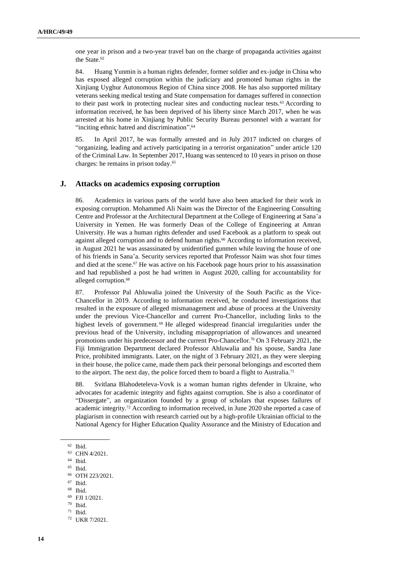one year in prison and a two-year travel ban on the charge of propaganda activities against the State.<sup>62</sup>

84. Huang Yunmin is a human rights defender, former soldier and ex-judge in China who has exposed alleged corruption within the judiciary and promoted human rights in the Xinjiang Uyghur Autonomous Region of China since 2008. He has also supported military veterans seeking medical testing and State compensation for damages suffered in connection to their past work in protecting nuclear sites and conducting nuclear tests.<sup>63</sup> According to information received, he has been deprived of his liberty since March 2017, when he was arrested at his home in Xinjiang by Public Security Bureau personnel with a warrant for "inciting ethnic hatred and discrimination".<sup>64</sup>

85. In April 2017, he was formally arrested and in July 2017 indicted on charges of "organizing, leading and actively participating in a terrorist organization" under article 120 of the Criminal Law. In September 2017, Huang was sentenced to 10 years in prison on those charges: he remains in prison today. 65

#### **J. Attacks on academics exposing corruption**

86. Academics in various parts of the world have also been attacked for their work in exposing corruption. Mohammed Ali Naim was the Director of the Engineering Consulting Centre and Professor at the Architectural Department at the College of Engineering at Sana'a University in Yemen. He was formerly Dean of the College of Engineering at Amran University. He was a human rights defender and used Facebook as a platform to speak out against alleged corruption and to defend human rights.<sup>66</sup> According to information received, in August 2021 he was assassinated by unidentified gunmen while leaving the house of one of his friends in Sana'a. Security services reported that Professor Naim was shot four times and died at the scene.<sup>67</sup> He was active on his Facebook page hours prior to his assassination and had republished a post he had written in August 2020, calling for accountability for alleged corruption.<sup>68</sup>

87. Professor Pal Ahluwalia joined the University of the South Pacific as the Vice-Chancellor in 2019. According to information received, he conducted investigations that resulted in the exposure of alleged mismanagement and abuse of process at the University under the previous Vice-Chancellor and current Pro-Chancellor, including links to the highest levels of government.<sup>69</sup> He alleged widespread financial irregularities under the previous head of the University, including misappropriation of allowances and unearned promotions under his predecessor and the current Pro-Chancellor.<sup>70</sup> On 3 February 2021, the Fiji Immigration Department declared Professor Ahluwalia and his spouse, Sandra Jane Price, prohibited immigrants. Later, on the night of 3 February 2021, as they were sleeping in their house, the police came, made them pack their personal belongings and escorted them to the airport. The next day, the police forced them to board a flight to Australia.<sup>71</sup>

88. Svitlana Blahodeteleva-Vovk is a woman human rights defender in Ukraine, who advocates for academic integrity and fights against corruption. She is also a coordinator of "Dissergate", an organization founded by a group of scholars that exposes failures of academic integrity.<sup>72</sup> According to information received, in June 2020 she reported a case of plagiarism in connection with research carried out by a high-profile Ukrainian official to the National Agency for Higher Education Quality Assurance and the Ministry of Education and

<sup>65</sup> Ibid.

<sup>62</sup> Ibid.

 $^{63}$  CHN 4/2021.

Ibid.

<sup>66</sup> OTH 223/2021.

 $67$  Ibid.

<sup>68</sup> Ibid.

<sup>69</sup> FJI 1/2021.

<sup>70</sup> Ibid.

<sup>71</sup> Ibid.

<sup>72</sup> UKR 7/2021.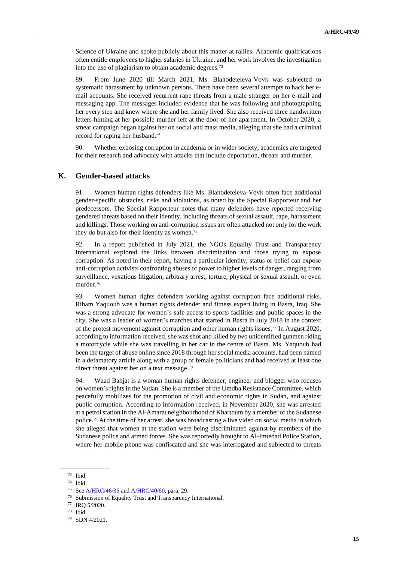Science of Ukraine and spoke publicly about this matter at rallies. Academic qualifications often entitle employees to higher salaries in Ukraine, and her work involves the investigation into the use of plagiarism to obtain academic degrees.<sup>73</sup>

89. From June 2020 till March 2021, Ms. Blahodeteleva-Vovk was subjected to systematic harassment by unknown persons. There have been several attempts to hack her email accounts. She received recurrent rape threats from a male stranger on her e-mail and messaging app. The messages included evidence that he was following and photographing her every step and knew where she and her family lived. She also received three handwritten letters hinting at her possible murder left at the door of her apartment. In October 2020, a smear campaign began against her on social and mass media, alleging that she had a criminal record for raping her husband.<sup>74</sup>

90. Whether exposing corruption in academia or in wider society, academics are targeted for their research and advocacy with attacks that include deportation, threats and murder.

#### **K. Gender-based attacks**

91. Women human rights defenders like Ms. Blahodeteleva-Vovk often face additional gender-specific obstacles, risks and violations, as noted by the Special Rapporteur and her predecessors. The Special Rapporteur notes that many defenders have reported receiving gendered threats based on their identity, including threats of sexual assault, rape, harassment and killings. Those working on anti-corruption issues are often attacked not only for the work they do but also for their identity as women.<sup>75</sup>

92. In a report published in July 2021, the NGOs Equality Trust and Transparency International explored the links between discrimination and those trying to expose corruption. As noted in their report, having a particular identity, status or belief can expose anti-corruption activists confronting abuses of power to higher levels of danger, ranging from surveillance, vexatious litigation, arbitrary arrest, torture, physical or sexual assault, or even murder.<sup>76</sup>

93. Women human rights defenders working against corruption face additional risks. Riham Yaquoub was a human rights defender and fitness expert living in Basra, Iraq. She was a strong advocate for women's safe access to sports facilities and public spaces in the city. She was a leader of women's marches that started in Basra in July 2018 in the context of the protest movement against corruption and other human rights issues.<sup>77</sup> In August 2020, according to information received, she was shot and killed by two unidentified gunmen riding a motorcycle while she was travelling in her car in the centre of Basra. Ms. Yaquoub had been the target of abuse online since 2018 through her social media accounts, had been named in a defamatory article along with a group of female politicians and had received at least one direct threat against her on a text message.<sup>78</sup>

94. Waad Bahjat is a woman human rights defender, engineer and blogger who focuses on women's rights in the Sudan. She is a member of the Umdba Resistance Committee, which peacefully mobilizes for the promotion of civil and economic rights in Sudan, and against public corruption. According to information received, in November 2020, she was arrested at a petrol station in the Al-Amarat neighbourhood of Khartoum by a member of the Sudanese police.<sup>79</sup> At the time of her arrest, she was broadcasting a live video on social media in which she alleged that women at the station were being discriminated against by members of the Sudanese police and armed forces. She was reportedly brought to Al-Imtedad Police Station, where her mobile phone was confiscated and she was interrogated and subjected to threats

 $\frac{73}{74}$  Ibid.

Ibid.

<sup>75</sup> Se[e A/HRC/46/35](https://undocs.org/en/A/HRC/46/35) an[d A/HRC/40/60,](http://undocs.org/en/A/HRC/40/60) para. 29.

Submission of Equality Trust and Transparency International.

<sup>77</sup> IRQ 5/2020.

<sup>78</sup> Ibid.

<sup>79</sup> SDN 4/2021.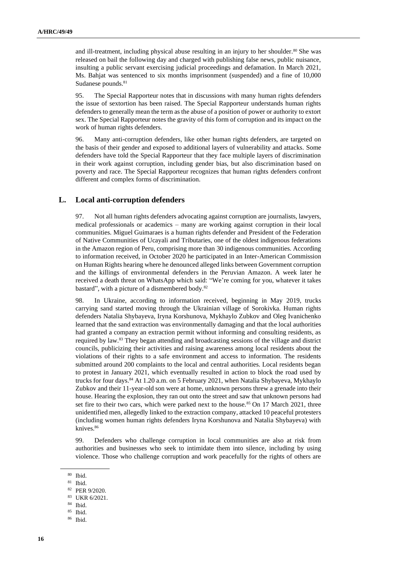and ill-treatment, including physical abuse resulting in an injury to her shoulder.<sup>80</sup> She was released on bail the following day and charged with publishing false news, public nuisance, insulting a public servant exercising judicial proceedings and defamation. In March 2021, Ms. Bahjat was sentenced to six months imprisonment (suspended) and a fine of 10,000 Sudanese pounds.<sup>81</sup>

95. The Special Rapporteur notes that in discussions with many human rights defenders the issue of sextortion has been raised. The Special Rapporteur understands human rights defenders to generally mean the term as the abuse of a position of power or authority to extort sex. The Special Rapporteur notes the gravity of this form of corruption and its impact on the work of human rights defenders.

96. Many anti-corruption defenders, like other human rights defenders, are targeted on the basis of their gender and exposed to additional layers of vulnerability and attacks. Some defenders have told the Special Rapporteur that they face multiple layers of discrimination in their work against corruption, including gender bias, but also discrimination based on poverty and race. The Special Rapporteur recognizes that human rights defenders confront different and complex forms of discrimination.

#### **L. Local anti-corruption defenders**

97. Not all human rights defenders advocating against corruption are journalists, lawyers, medical professionals or academics – many are working against corruption in their local communities. Miguel Guimaraes is a human rights defender and President of the Federation of Native Communities of Ucayali and Tributaries, one of the oldest indigenous federations in the Amazon region of Peru, comprising more than 30 indigenous communities. According to information received, in October 2020 he participated in an Inter-American Commission on Human Rights hearing where he denounced alleged links between Government corruption and the killings of environmental defenders in the Peruvian Amazon. A week later he received a death threat on WhatsApp which said: "We're coming for you, whatever it takes bastard", with a picture of a dismembered body.<sup>82</sup>

98. In Ukraine, according to information received, beginning in May 2019, trucks carrying sand started moving through the Ukrainian village of Sorokivka. Human rights defenders Natalia Shybayeva, Iryna Korshunova, Mykhaylo Zubkov and Oleg Ivanichenko learned that the sand extraction was environmentally damaging and that the local authorities had granted a company an extraction permit without informing and consulting residents, as required by law.<sup>83</sup> They began attending and broadcasting sessions of the village and district councils, publicizing their activities and raising awareness among local residents about the violations of their rights to a safe environment and access to information. The residents submitted around 200 complaints to the local and central authorities. Local residents began to protest in January 2021, which eventually resulted in action to block the road used by trucks for four days.<sup>84</sup> At 1.20 a.m. on 5 February 2021, when Natalia Shybayeva, Mykhaylo Zubkov and their 11-year-old son were at home, unknown persons threw a grenade into their house. Hearing the explosion, they ran out onto the street and saw that unknown persons had set fire to their two cars, which were parked next to the house.<sup>85</sup> On 17 March 2021, three unidentified men, allegedly linked to the extraction company, attacked 10 peaceful protesters (including women human rights defenders Iryna Korshunova and Natalia Shybayeva) with knives.<sup>86</sup>

99. Defenders who challenge corruption in local communities are also at risk from authorities and businesses who seek to intimidate them into silence, including by using violence. Those who challenge corruption and work peacefully for the rights of others are

<sup>80</sup> Ibid.

<sup>81</sup> Ibid.

<sup>82</sup> PER 9/2020.

<sup>83</sup> UKR 6/2021.

<sup>84</sup> Ibid.

<sup>85</sup> Ibid.

<sup>86</sup> Ibid.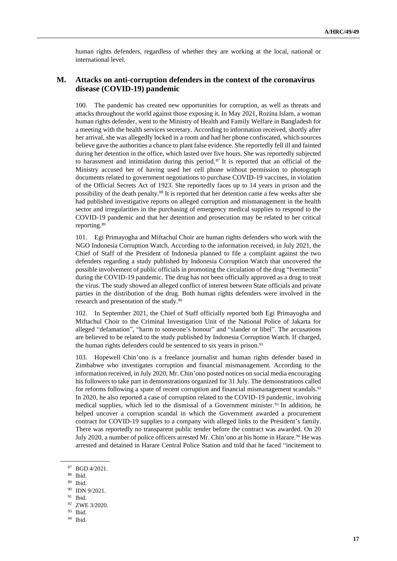human rights defenders, regardless of whether they are working at the local, national or international level.

#### **M. Attacks on anti-corruption defenders in the context of the coronavirus disease (COVID-19) pandemic**

100. The pandemic has created new opportunities for corruption, as well as threats and attacks throughout the world against those exposing it. In May 2021, Rozina Islam, a woman human rights defender, went to the Ministry of Health and Family Welfare in Bangladesh for a meeting with the health services secretary. According to information received, shortly after her arrival, she was allegedly locked in a room and had her phone confiscated, which sources believe gave the authorities a chance to plant false evidence. She reportedly fell ill and fainted during her detention in the office, which lasted over five hours. She was reportedly subjected to harassment and intimidation during this period. <sup>87</sup> It is reported that an official of the Ministry accused her of having used her cell phone without permission to photograph documents related to government negotiations to purchase COVID-19 vaccines, in violation of the Official Secrets Act of 1923. She reportedly faces up to 14 years in prison and the possibility of the death penalty.<sup>88</sup> It is reported that her detention came a few weeks after she had published investigative reports on alleged corruption and mismanagement in the health sector and irregularities in the purchasing of emergency medical supplies to respond to the COVID-19 pandemic and that her detention and prosecution may be related to her critical reporting.<sup>89</sup>

101. Egi Primayogha and Miftachul Choir are human rights defenders who work with the NGO Indonesia Corruption Watch. According to the information received, in July 2021, the Chief of Staff of the President of Indonesia planned to file a complaint against the two defenders regarding a study published by Indonesia Corruption Watch that uncovered the possible involvement of public officials in promoting the circulation of the drug "Ivermectin" during the COVID-19 pandemic. The drug has not been officially approved as a drug to treat the virus. The study showed an alleged conflict of interest between State officials and private parties in the distribution of the drug. Both human rights defenders were involved in the research and presentation of the study.<sup>90</sup>

In September 2021, the Chief of Staff officially reported both Egi Primayogha and Miftachul Choir to the Criminal Investigation Unit of the National Police of Jakarta for alleged "defamation", "harm to someone's honour" and "slander or libel". The accusations are believed to be related to the study published by Indonesia Corruption Watch. If charged, the human rights defenders could be sentenced to six years in prison.<sup>91</sup>

103. Hopewell Chin'ono is a freelance journalist and human rights defender based in Zimbabwe who investigates corruption and financial mismanagement. According to the information received, in July 2020, Mr. Chin'ono posted notices on social media encouraging his followers to take part in demonstrations organized for 31 July. The demonstrations called for reforms following a spate of recent corruption and financial mismanagement scandals.<sup>92</sup> In 2020, he also reported a case of corruption related to the COVID-19 pandemic, involving medical supplies, which led to the dismissal of a Government minister.<sup>93</sup> In addition, he helped uncover a corruption scandal in which the Government awarded a procurement contract for COVID-19 supplies to a company with alleged links to the President's family. There was reportedly no transparent public tender before the contract was awarded. On 20 July 2020, a number of police officers arrested Mr. Chin'ono at his home in Harare.<sup>94</sup> He was arrested and detained in Harare Central Police Station and told that he faced "incitement to

- <sup>93</sup> Ibid.
- <sup>94</sup> Ibid.

<sup>87</sup> BGD 4/2021.

<sup>88</sup> Ibid.

<sup>89</sup> Ibid.

<sup>90</sup> IDN 9/2021.

 $91$  Ibid.

<sup>92</sup> ZWE 3/2020.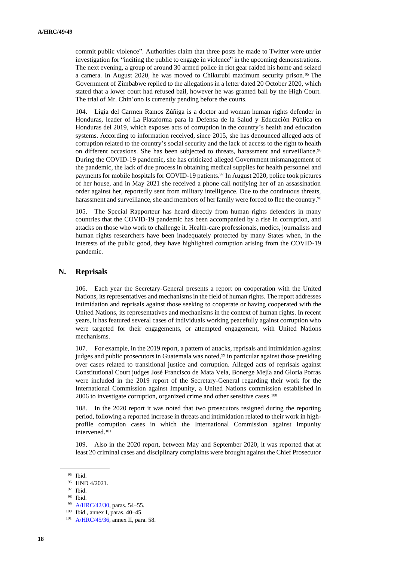commit public violence". Authorities claim that three posts he made to Twitter were under investigation for "inciting the public to engage in violence" in the upcoming demonstrations. The next evening, a group of around 30 armed police in riot gear raided his home and seized a camera. In August 2020, he was moved to Chikurubi maximum security prison. <sup>95</sup> The Government of Zimbabwe replied to the allegations in a letter dated 20 October 2020, which stated that a lower court had refused bail, however he was granted bail by the High Court. The trial of Mr. Chin'ono is currently pending before the courts.

104. Ligia del Carmen Ramos Zúñiga is a doctor and woman human rights defender in Honduras, leader of La Plataforma para la Defensa de la Salud y Educación Pública en Honduras del 2019, which exposes acts of corruption in the country's health and education systems. According to information received, since 2015, she has denounced alleged acts of corruption related to the country's social security and the lack of access to the right to health on different occasions. She has been subjected to threats, harassment and surveillance.<sup>96</sup> During the COVID-19 pandemic, she has criticized alleged Government mismanagement of the pandemic, the lack of due process in obtaining medical supplies for health personnel and payments for mobile hospitals for COVID-19 patients.<sup>97</sup> In August 2020, police took pictures of her house, and in May 2021 she received a phone call notifying her of an assassination order against her, reportedly sent from military intelligence. Due to the continuous threats, harassment and surveillance, she and members of her family were forced to flee the country.<sup>98</sup>

105. The Special Rapporteur has heard directly from human rights defenders in many countries that the COVID-19 pandemic has been accompanied by a rise in corruption, and attacks on those who work to challenge it. Health-care professionals, medics, journalists and human rights researchers have been inadequately protected by many States when, in the interests of the public good, they have highlighted corruption arising from the COVID-19 pandemic.

#### **N. Reprisals**

106. Each year the Secretary-General presents a report on cooperation with the United Nations, its representatives and mechanisms in the field of human rights. The report addresses intimidation and reprisals against those seeking to cooperate or having cooperated with the United Nations, its representatives and mechanisms in the context of human rights. In recent years, it has featured several cases of individuals working peacefully against corruption who were targeted for their engagements, or attempted engagement, with United Nations mechanisms.

107. For example, in the 2019 report, a pattern of attacks, reprisals and intimidation against judges and public prosecutors in Guatemala was noted,<sup>99</sup> in particular against those presiding over cases related to transitional justice and corruption. Alleged acts of reprisals against Constitutional Court judges José Francisco de Mata Vela, Bonerge Mejía and Gloria Porras were included in the 2019 report of the Secretary-General regarding their work for the International Commission against Impunity, a United Nations commission established in 2006 to investigate corruption, organized crime and other sensitive cases.<sup>100</sup>

108. In the 2020 report it was noted that two prosecutors resigned during the reporting period, following a reported increase in threats and intimidation related to their work in highprofile corruption cases in which the International Commission against Impunity intervened.<sup>101</sup>

109. Also in the 2020 report, between May and September 2020, it was reported that at least 20 criminal cases and disciplinary complaints were brought against the Chief Prosecutor

 $95$  Ibid.<br>96 HNE

HND 4/2021.

<sup>97</sup> Ibid.

<sup>98</sup> Ibid.

<sup>99</sup> [A/HRC/42/30,](http://undocs.org/en/A/HRC/42/30) paras. 54–55.

<sup>100</sup> Ibid., annex I, paras. 40–45.

<sup>101</sup> [A/HRC/45/36,](http://undocs.org/en/A/HRC/45/36) annex II, para. 58.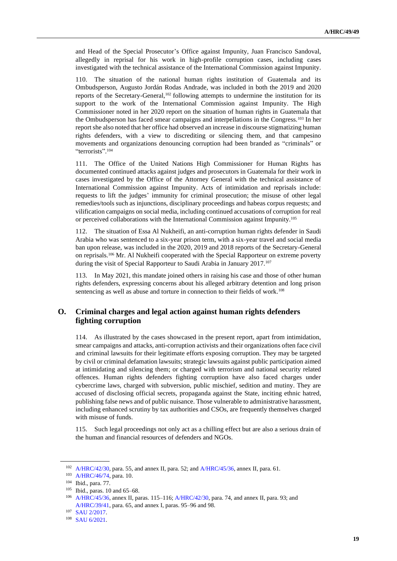and Head of the Special Prosecutor's Office against Impunity, Juan Francisco Sandoval, allegedly in reprisal for his work in high-profile corruption cases, including cases investigated with the technical assistance of the International Commission against Impunity.

110. The situation of the national human rights institution of Guatemala and its Ombudsperson, Augusto Jordán Rodas Andrade, was included in both the 2019 and 2020 reports of the Secretary-General,<sup>102</sup> following attempts to undermine the institution for its support to the work of the International Commission against Impunity. The High Commissioner noted in her 2020 report on the situation of human rights in Guatemala that the Ombudsperson has faced smear campaigns and interpellations in the Congress.<sup>103</sup> In her report she also noted that her office had observed an increase in discourse stigmatizing human rights defenders, with a view to discrediting or silencing them, and that campesino movements and organizations denouncing corruption had been branded as "criminals" or "terrorists". 104

111. The Office of the United Nations High Commissioner for Human Rights has documented continued attacks against judges and prosecutors in Guatemala for their work in cases investigated by the Office of the Attorney General with the technical assistance of International Commission against Impunity. Acts of intimidation and reprisals include: requests to lift the judges' immunity for criminal prosecution; the misuse of other legal remedies/tools such as injunctions, disciplinary proceedings and habeas corpus requests; and vilification campaigns on social media, including continued accusations of corruption for real or perceived collaborations with the International Commission against Impunity.<sup>105</sup>

112. The situation of Essa Al Nukheifi, an anti-corruption human rights defender in Saudi Arabia who was sentenced to a six-year prison term, with a six-year travel and social media ban upon release, was included in the 2020, 2019 and 2018 reports of the Secretary-General on reprisals.<sup>106</sup> Mr. Al Nukheifi cooperated with the Special Rapporteur on extreme poverty during the visit of Special Rapporteur to Saudi Arabia in January 2017.<sup>107</sup>

113. In May 2021, this mandate joined others in raising his case and those of other human rights defenders, expressing concerns about his alleged arbitrary detention and long prison sentencing as well as abuse and torture in connection to their fields of work.<sup>108</sup>

## **O. Criminal charges and legal action against human rights defenders fighting corruption**

114. As illustrated by the cases showcased in the present report, apart from intimidation, smear campaigns and attacks, anti-corruption activists and their organizations often face civil and criminal lawsuits for their legitimate efforts exposing corruption. They may be targeted by civil or criminal defamation lawsuits; strategic lawsuits against public participation aimed at intimidating and silencing them; or charged with terrorism and national security related offences. Human rights defenders fighting corruption have also faced charges under cybercrime laws, charged with subversion, public mischief, sedition and mutiny. They are accused of disclosing official secrets, propaganda against the State, inciting ethnic hatred, publishing false news and of public nuisance. Those vulnerable to administrative harassment, including enhanced scrutiny by tax authorities and CSOs, are frequently themselves charged with misuse of funds.

115. Such legal proceedings not only act as a chilling effect but are also a serious drain of the human and financial resources of defenders and NGOs.

<sup>102</sup> [A/HRC/42/30,](https://undocs.org/en/A/HRC/42/30) para. 55, and annex II, para. 52; and [A/HRC/45/36,](https://undocs.org/en/A/HRC/45/36) annex II, para. 61.

<sup>103</sup> [A/HRC/46/74,](https://undocs.org/A/HRC/46/74) para. 10.

<sup>104</sup> Ibid., para. 77.

<sup>105</sup> Ibid., paras. 10 and 65–68.

[A/HRC/45/36,](https://undocs.org/en/A/HRC/45/36) annex II, paras. 115–116[; A/HRC/42/30,](https://undocs.org/en/A/HRC/42/30) para. 74, and annex II, para. 93; and [A/HRC/39/41,](https://undocs.org/A/HRC/39/41) para. 65, and annex I, paras. 95–96 and 98.

<sup>107</sup> [SAU 2/2017.](https://spcommreports.ohchr.org/TMResultsBase/DownLoadPublicCommunicationFile?gId=22989)

<sup>108</sup> [SAU 6/2021.](https://spcommreports.ohchr.org/TMResultsBase/DownLoadPublicCommunicationFile?gId=26389)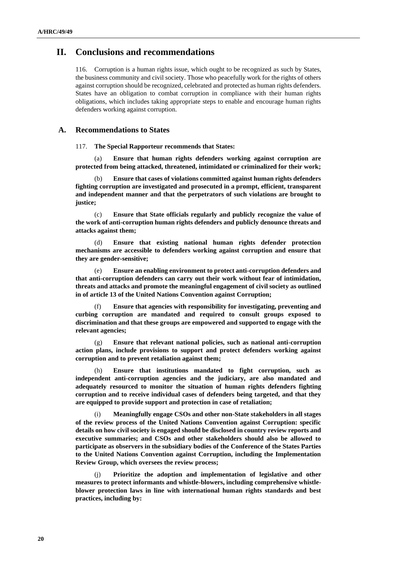## **II. Conclusions and recommendations**

116. Corruption is a human rights issue, which ought to be recognized as such by States, the business community and civil society. Those who peacefully work for the rights of others against corruption should be recognized, celebrated and protected as human rights defenders. States have an obligation to combat corruption in compliance with their human rights obligations, which includes taking appropriate steps to enable and encourage human rights defenders working against corruption.

#### **A. Recommendations to States**

117. **The Special Rapporteur recommends that States:**

(a) **Ensure that human rights defenders working against corruption are protected from being attacked, threatened, intimidated or criminalized for their work;**

(b) **Ensure that cases of violations committed against human rights defenders fighting corruption are investigated and prosecuted in a prompt, efficient, transparent and independent manner and that the perpetrators of such violations are brought to justice;**

(c) **Ensure that State officials regularly and publicly recognize the value of the work of anti-corruption human rights defenders and publicly denounce threats and attacks against them;**

(d) **Ensure that existing national human rights defender protection mechanisms are accessible to defenders working against corruption and ensure that they are gender-sensitive;** 

(e) **Ensure an enabling environment to protect anti-corruption defenders and that anti-corruption defenders can carry out their work without fear of intimidation, threats and attacks and promote the meaningful engagement of civil society as outlined in of article 13 of the United Nations Convention against Corruption;**

Ensure that agencies with responsibility for investigating, preventing and **curbing corruption are mandated and required to consult groups exposed to discrimination and that these groups are empowered and supported to engage with the relevant agencies;**

(g) **Ensure that relevant national policies, such as national anti-corruption action plans, include provisions to support and protect defenders working against corruption and to prevent retaliation against them;**

(h) **Ensure that institutions mandated to fight corruption, such as independent anti-corruption agencies and the judiciary, are also mandated and adequately resourced to monitor the situation of human rights defenders fighting corruption and to receive individual cases of defenders being targeted, and that they are equipped to provide support and protection in case of retaliation;**

(i) **Meaningfully engage CSOs and other non-State stakeholders in all stages of the review process of the United Nations Convention against Corruption: specific details on how civil society is engaged should be disclosed in country review reports and executive summaries; and CSOs and other stakeholders should also be allowed to participate as observers in the subsidiary bodies of the Conference of the States Parties to the United Nations Convention against Corruption, including the Implementation Review Group, which oversees the review process;**

Prioritize the adoption and implementation of legislative and other **measures to protect informants and whistle-blowers, including comprehensive whistleblower protection laws in line with international human rights standards and best practices, including by:**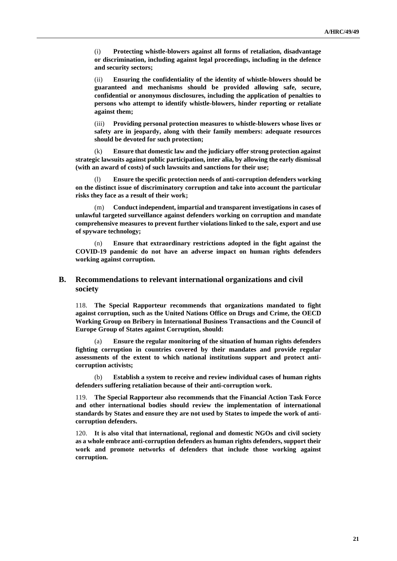(i) **Protecting whistle-blowers against all forms of retaliation, disadvantage or discrimination, including against legal proceedings, including in the defence and security sectors;**

(ii) **Ensuring the confidentiality of the identity of whistle-blowers should be guaranteed and mechanisms should be provided allowing safe, secure, confidential or anonymous disclosures, including the application of penalties to persons who attempt to identify whistle-blowers, hinder reporting or retaliate against them;**

(iii) **Providing personal protection measures to whistle-blowers whose lives or safety are in jeopardy, along with their family members: adequate resources should be devoted for such protection;**

(k) **Ensure that domestic law and the judiciary offer strong protection against strategic lawsuits against public participation, inter alia, by allowing the early dismissal (with an award of costs) of such lawsuits and sanctions for their use;**

(l) **Ensure the specific protection needs of anti-corruption defenders working on the distinct issue of discriminatory corruption and take into account the particular risks they face as a result of their work;**

(m) **Conduct independent, impartial and transparent investigations in cases of unlawful targeted surveillance against defenders working on corruption and mandate comprehensive measures to prevent further violations linked to the sale, export and use of spyware technology;**

(n) **Ensure that extraordinary restrictions adopted in the fight against the COVID-19 pandemic do not have an adverse impact on human rights defenders working against corruption.**

### **B. Recommendations to relevant international organizations and civil society**

118. **The Special Rapporteur recommends that organizations mandated to fight against corruption, such as the United Nations Office on Drugs and Crime, the OECD Working Group on Bribery in International Business Transactions and the Council of Europe Group of States against Corruption, should:**

**Ensure the regular monitoring of the situation of human rights defenders fighting corruption in countries covered by their mandates and provide regular assessments of the extent to which national institutions support and protect anticorruption activists;**

(b) **Establish a system to receive and review individual cases of human rights defenders suffering retaliation because of their anti-corruption work.**

119. **The Special Rapporteur also recommends that the Financial Action Task Force and other international bodies should review the implementation of international standards by States and ensure they are not used by States to impede the work of anticorruption defenders.**

120. **It is also vital that international, regional and domestic NGOs and civil society as a whole embrace anti-corruption defenders as human rights defenders, support their work and promote networks of defenders that include those working against corruption.**